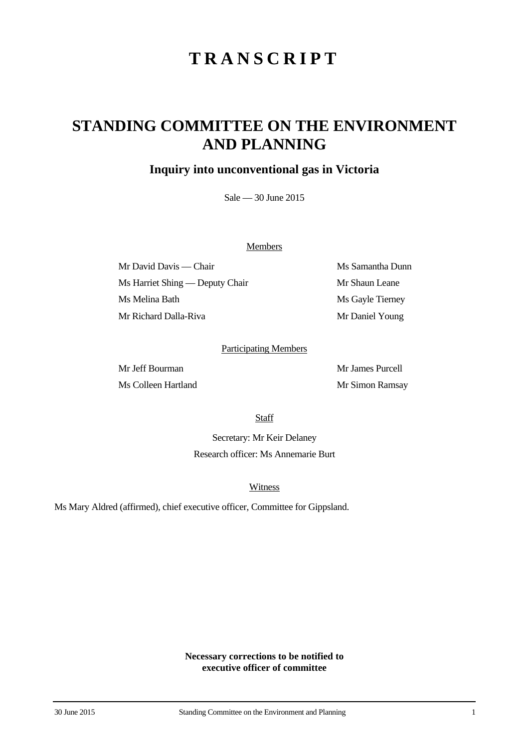# **TRANSCRIPT**

## **STANDING COMMITTEE ON THE ENVIRONMENT AND PLANNING**

### **Inquiry into unconventional gas in Victoria**

Sale — 30 June 2015

#### **Members**

Mr David Davis — Chair Ms Samantha Dunn Ms Harriet Shing — Deputy Chair Mr Shaun Leane Ms Melina Bath Ms Gayle Tierney Mr Richard Dalla-Riva Mr Daniel Young

#### Participating Members

Mr Jeff Bourman Mr James Purcell Ms Colleen Hartland Mr Simon Ramsay

**Staff** 

Secretary: Mr Keir Delaney Research officer: Ms Annemarie Burt

**Witness** 

Ms Mary Aldred (affirmed), chief executive officer, Committee for Gippsland.

**Necessary corrections to be notified to executive officer of committee**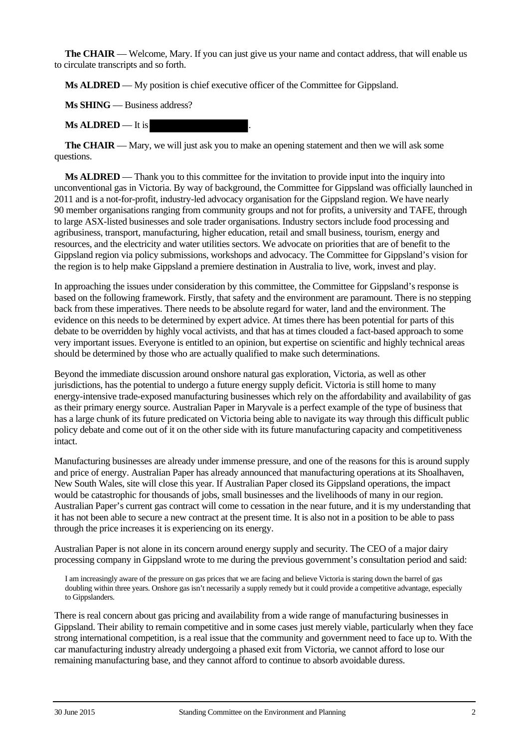**The CHAIR** — Welcome, Mary. If you can just give us your name and contact address, that will enable us to circulate transcripts and so forth.

**Ms ALDRED** — My position is chief executive officer of the Committee for Gippsland.

**Ms SHING** — Business address?

**Ms ALDRED** — It is

**The CHAIR** — Mary, we will just ask you to make an opening statement and then we will ask some questions.

**Ms ALDRED** — Thank you to this committee for the invitation to provide input into the inquiry into unconventional gas in Victoria. By way of background, the Committee for Gippsland was officially launched in 2011 and is a not-for-profit, industry-led advocacy organisation for the Gippsland region. We have nearly 90 member organisations ranging from community groups and not for profits, a university and TAFE, through to large ASX-listed businesses and sole trader organisations. Industry sectors include food processing and agribusiness, transport, manufacturing, higher education, retail and small business, tourism, energy and resources, and the electricity and water utilities sectors. We advocate on priorities that are of benefit to the Gippsland region via policy submissions, workshops and advocacy. The Committee for Gippsland's vision for the region is to help make Gippsland a premiere destination in Australia to live, work, invest and play.

In approaching the issues under consideration by this committee, the Committee for Gippsland's response is based on the following framework. Firstly, that safety and the environment are paramount. There is no stepping back from these imperatives. There needs to be absolute regard for water, land and the environment. The evidence on this needs to be determined by expert advice. At times there has been potential for parts of this debate to be overridden by highly vocal activists, and that has at times clouded a fact-based approach to some very important issues. Everyone is entitled to an opinion, but expertise on scientific and highly technical areas should be determined by those who are actually qualified to make such determinations.

Beyond the immediate discussion around onshore natural gas exploration, Victoria, as well as other jurisdictions, has the potential to undergo a future energy supply deficit. Victoria is still home to many energy-intensive trade-exposed manufacturing businesses which rely on the affordability and availability of gas as their primary energy source. Australian Paper in Maryvale is a perfect example of the type of business that has a large chunk of its future predicated on Victoria being able to navigate its way through this difficult public policy debate and come out of it on the other side with its future manufacturing capacity and competitiveness intact.

Manufacturing businesses are already under immense pressure, and one of the reasons for this is around supply and price of energy. Australian Paper has already announced that manufacturing operations at its Shoalhaven, New South Wales, site will close this year. If Australian Paper closed its Gippsland operations, the impact would be catastrophic for thousands of jobs, small businesses and the livelihoods of many in our region. Australian Paper's current gas contract will come to cessation in the near future, and it is my understanding that it has not been able to secure a new contract at the present time. It is also not in a position to be able to pass through the price increases it is experiencing on its energy.

Australian Paper is not alone in its concern around energy supply and security. The CEO of a major dairy processing company in Gippsland wrote to me during the previous government's consultation period and said:

I am increasingly aware of the pressure on gas prices that we are facing and believe Victoria is staring down the barrel of gas doubling within three years. Onshore gas isn't necessarily a supply remedy but it could provide a competitive advantage, especially to Gippslanders.

There is real concern about gas pricing and availability from a wide range of manufacturing businesses in Gippsland. Their ability to remain competitive and in some cases just merely viable, particularly when they face strong international competition, is a real issue that the community and government need to face up to. With the car manufacturing industry already undergoing a phased exit from Victoria, we cannot afford to lose our remaining manufacturing base, and they cannot afford to continue to absorb avoidable duress.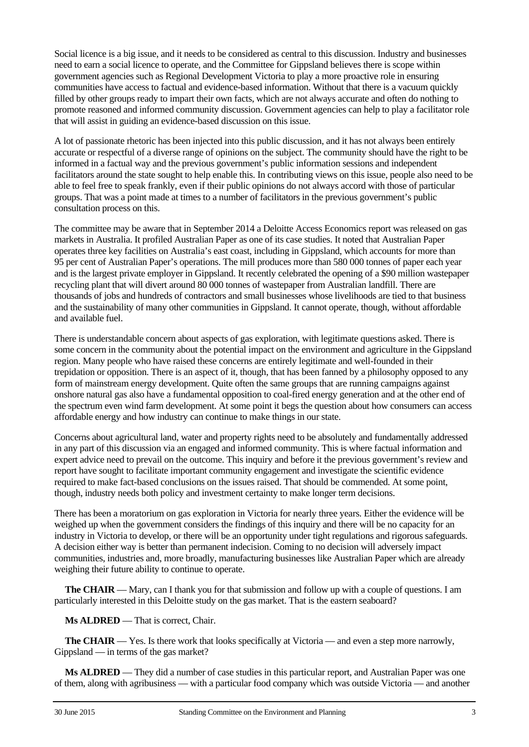Social licence is a big issue, and it needs to be considered as central to this discussion. Industry and businesses need to earn a social licence to operate, and the Committee for Gippsland believes there is scope within government agencies such as Regional Development Victoria to play a more proactive role in ensuring communities have access to factual and evidence-based information. Without that there is a vacuum quickly filled by other groups ready to impart their own facts, which are not always accurate and often do nothing to promote reasoned and informed community discussion. Government agencies can help to play a facilitator role that will assist in guiding an evidence-based discussion on this issue.

A lot of passionate rhetoric has been injected into this public discussion, and it has not always been entirely accurate or respectful of a diverse range of opinions on the subject. The community should have the right to be informed in a factual way and the previous government's public information sessions and independent facilitators around the state sought to help enable this. In contributing views on this issue, people also need to be able to feel free to speak frankly, even if their public opinions do not always accord with those of particular groups. That was a point made at times to a number of facilitators in the previous government's public consultation process on this.

The committee may be aware that in September 2014 a Deloitte Access Economics report was released on gas markets in Australia. It profiled Australian Paper as one of its case studies. It noted that Australian Paper operates three key facilities on Australia's east coast, including in Gippsland, which accounts for more than 95 per cent of Australian Paper's operations. The mill produces more than 580 000 tonnes of paper each year and is the largest private employer in Gippsland. It recently celebrated the opening of a \$90 million wastepaper recycling plant that will divert around 80 000 tonnes of wastepaper from Australian landfill. There are thousands of jobs and hundreds of contractors and small businesses whose livelihoods are tied to that business and the sustainability of many other communities in Gippsland. It cannot operate, though, without affordable and available fuel.

There is understandable concern about aspects of gas exploration, with legitimate questions asked. There is some concern in the community about the potential impact on the environment and agriculture in the Gippsland region. Many people who have raised these concerns are entirely legitimate and well-founded in their trepidation or opposition. There is an aspect of it, though, that has been fanned by a philosophy opposed to any form of mainstream energy development. Quite often the same groups that are running campaigns against onshore natural gas also have a fundamental opposition to coal-fired energy generation and at the other end of the spectrum even wind farm development. At some point it begs the question about how consumers can access affordable energy and how industry can continue to make things in our state.

Concerns about agricultural land, water and property rights need to be absolutely and fundamentally addressed in any part of this discussion via an engaged and informed community. This is where factual information and expert advice need to prevail on the outcome. This inquiry and before it the previous government's review and report have sought to facilitate important community engagement and investigate the scientific evidence required to make fact-based conclusions on the issues raised. That should be commended. At some point, though, industry needs both policy and investment certainty to make longer term decisions.

There has been a moratorium on gas exploration in Victoria for nearly three years. Either the evidence will be weighed up when the government considers the findings of this inquiry and there will be no capacity for an industry in Victoria to develop, or there will be an opportunity under tight regulations and rigorous safeguards. A decision either way is better than permanent indecision. Coming to no decision will adversely impact communities, industries and, more broadly, manufacturing businesses like Australian Paper which are already weighing their future ability to continue to operate.

**The CHAIR** — Mary, can I thank you for that submission and follow up with a couple of questions. I am particularly interested in this Deloitte study on the gas market. That is the eastern seaboard?

**Ms ALDRED** — That is correct, Chair.

**The CHAIR** — Yes. Is there work that looks specifically at Victoria — and even a step more narrowly, Gippsland — in terms of the gas market?

**Ms ALDRED** — They did a number of case studies in this particular report, and Australian Paper was one of them, along with agribusiness — with a particular food company which was outside Victoria — and another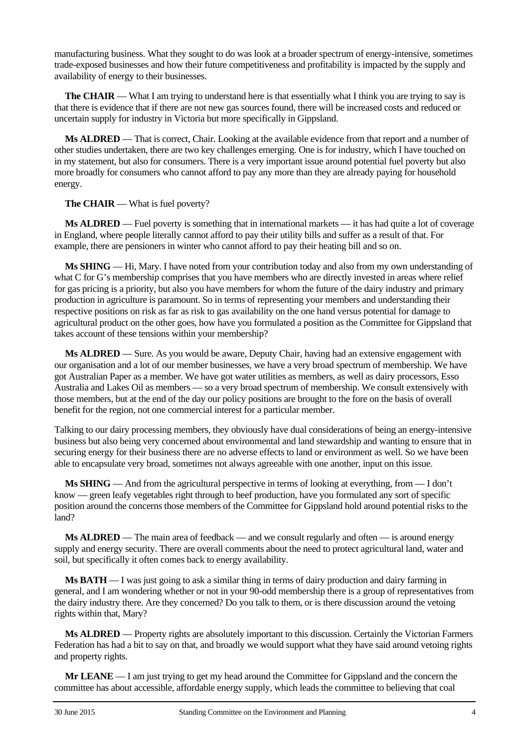manufacturing business. What they sought to do was look at a broader spectrum of energy-intensive, sometimes trade-exposed businesses and how their future competitiveness and profitability is impacted by the supply and availability of energy to their businesses.

**The CHAIR** — What I am trying to understand here is that essentially what I think you are trying to say is that there is evidence that if there are not new gas sources found, there will be increased costs and reduced or uncertain supply for industry in Victoria but more specifically in Gippsland.

**Ms ALDRED** — That is correct, Chair. Looking at the available evidence from that report and a number of other studies undertaken, there are two key challenges emerging. One is for industry, which I have touched on in my statement, but also for consumers. There is a very important issue around potential fuel poverty but also more broadly for consumers who cannot afford to pay any more than they are already paying for household energy.

**The CHAIR** — What is fuel poverty?

**Ms ALDRED** — Fuel poverty is something that in international markets — it has had quite a lot of coverage in England, where people literally cannot afford to pay their utility bills and suffer as a result of that. For example, there are pensioners in winter who cannot afford to pay their heating bill and so on.

**Ms SHING** — Hi, Mary. I have noted from your contribution today and also from my own understanding of what C for G's membership comprises that you have members who are directly invested in areas where relief for gas pricing is a priority, but also you have members for whom the future of the dairy industry and primary production in agriculture is paramount. So in terms of representing your members and understanding their respective positions on risk as far as risk to gas availability on the one hand versus potential for damage to agricultural product on the other goes, how have you formulated a position as the Committee for Gippsland that takes account of these tensions within your membership?

**Ms ALDRED** — Sure. As you would be aware, Deputy Chair, having had an extensive engagement with our organisation and a lot of our member businesses, we have a very broad spectrum of membership. We have got Australian Paper as a member. We have got water utilities as members, as well as dairy processors, Esso Australia and Lakes Oil as members — so a very broad spectrum of membership. We consult extensively with those members, but at the end of the day our policy positions are brought to the fore on the basis of overall benefit for the region, not one commercial interest for a particular member.

Talking to our dairy processing members, they obviously have dual considerations of being an energy-intensive business but also being very concerned about environmental and land stewardship and wanting to ensure that in securing energy for their business there are no adverse effects to land or environment as well. So we have been able to encapsulate very broad, sometimes not always agreeable with one another, input on this issue.

**Ms SHING** — And from the agricultural perspective in terms of looking at everything, from — I don't know — green leafy vegetables right through to beef production, have you formulated any sort of specific position around the concerns those members of the Committee for Gippsland hold around potential risks to the land?

**Ms ALDRED** — The main area of feedback — and we consult regularly and often — is around energy supply and energy security. There are overall comments about the need to protect agricultural land, water and soil, but specifically it often comes back to energy availability.

**Ms BATH** — I was just going to ask a similar thing in terms of dairy production and dairy farming in general, and I am wondering whether or not in your 90-odd membership there is a group of representatives from the dairy industry there. Are they concerned? Do you talk to them, or is there discussion around the vetoing rights within that, Mary?

**Ms ALDRED** — Property rights are absolutely important to this discussion. Certainly the Victorian Farmers Federation has had a bit to say on that, and broadly we would support what they have said around vetoing rights and property rights.

**Mr LEANE** — I am just trying to get my head around the Committee for Gippsland and the concern the committee has about accessible, affordable energy supply, which leads the committee to believing that coal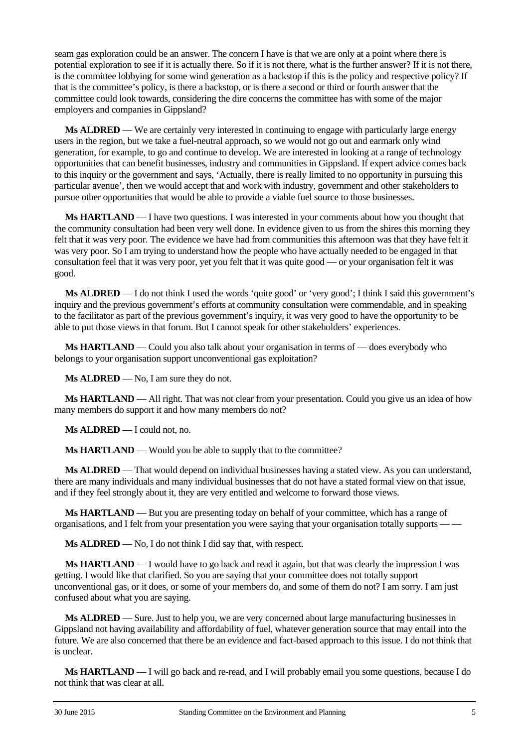seam gas exploration could be an answer. The concern I have is that we are only at a point where there is potential exploration to see if it is actually there. So if it is not there, what is the further answer? If it is not there, is the committee lobbying for some wind generation as a backstop if this is the policy and respective policy? If that is the committee's policy, is there a backstop, or is there a second or third or fourth answer that the committee could look towards, considering the dire concerns the committee has with some of the major employers and companies in Gippsland?

**Ms ALDRED** — We are certainly very interested in continuing to engage with particularly large energy users in the region, but we take a fuel-neutral approach, so we would not go out and earmark only wind generation, for example, to go and continue to develop. We are interested in looking at a range of technology opportunities that can benefit businesses, industry and communities in Gippsland. If expert advice comes back to this inquiry or the government and says, 'Actually, there is really limited to no opportunity in pursuing this particular avenue', then we would accept that and work with industry, government and other stakeholders to pursue other opportunities that would be able to provide a viable fuel source to those businesses.

**Ms HARTLAND** — I have two questions. I was interested in your comments about how you thought that the community consultation had been very well done. In evidence given to us from the shires this morning they felt that it was very poor. The evidence we have had from communities this afternoon was that they have felt it was very poor. So I am trying to understand how the people who have actually needed to be engaged in that consultation feel that it was very poor, yet you felt that it was quite good — or your organisation felt it was good.

**Ms <b>ALDRED** — I do not think I used the words 'quite good' or 'very good'; I think I said this government's inquiry and the previous government's efforts at community consultation were commendable, and in speaking to the facilitator as part of the previous government's inquiry, it was very good to have the opportunity to be able to put those views in that forum. But I cannot speak for other stakeholders' experiences.

**Ms HARTLAND** — Could you also talk about your organisation in terms of — does everybody who belongs to your organisation support unconventional gas exploitation?

**Ms ALDRED** — No, I am sure they do not.

**Ms HARTLAND** — All right. That was not clear from your presentation. Could you give us an idea of how many members do support it and how many members do not?

**Ms ALDRED** — I could not, no.

**Ms HARTLAND** — Would you be able to supply that to the committee?

**Ms ALDRED** — That would depend on individual businesses having a stated view. As you can understand, there are many individuals and many individual businesses that do not have a stated formal view on that issue, and if they feel strongly about it, they are very entitled and welcome to forward those views.

**Ms HARTLAND** — But you are presenting today on behalf of your committee, which has a range of organisations, and I felt from your presentation you were saying that your organisation totally supports — —

**Ms ALDRED** — No, I do not think I did say that, with respect.

**Ms HARTLAND** — I would have to go back and read it again, but that was clearly the impression I was getting. I would like that clarified. So you are saying that your committee does not totally support unconventional gas, or it does, or some of your members do, and some of them do not? I am sorry. I am just confused about what you are saying.

**Ms ALDRED** — Sure. Just to help you, we are very concerned about large manufacturing businesses in Gippsland not having availability and affordability of fuel, whatever generation source that may entail into the future. We are also concerned that there be an evidence and fact-based approach to this issue. I do not think that is unclear.

**Ms HARTLAND** — I will go back and re-read, and I will probably email you some questions, because I do not think that was clear at all.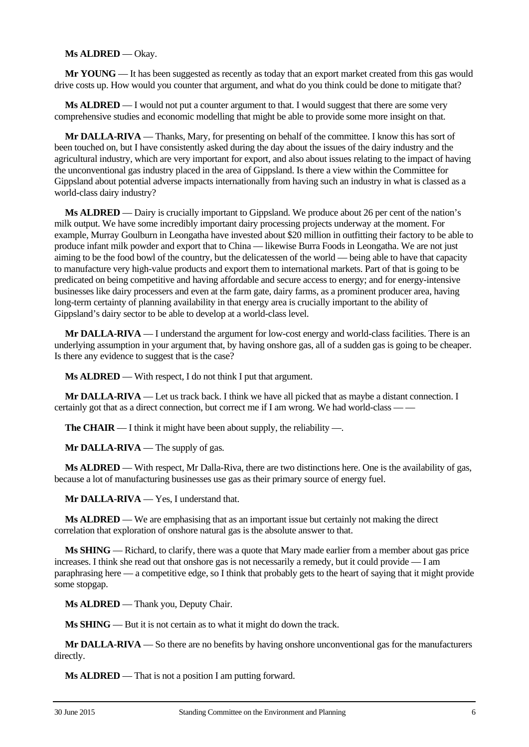#### **Ms ALDRED** — Okay.

**Mr YOUNG** — It has been suggested as recently as today that an export market created from this gas would drive costs up. How would you counter that argument, and what do you think could be done to mitigate that?

**Ms ALDRED** — I would not put a counter argument to that. I would suggest that there are some very comprehensive studies and economic modelling that might be able to provide some more insight on that.

**Mr DALLA-RIVA** — Thanks, Mary, for presenting on behalf of the committee. I know this has sort of been touched on, but I have consistently asked during the day about the issues of the dairy industry and the agricultural industry, which are very important for export, and also about issues relating to the impact of having the unconventional gas industry placed in the area of Gippsland. Is there a view within the Committee for Gippsland about potential adverse impacts internationally from having such an industry in what is classed as a world-class dairy industry?

**Ms ALDRED** — Dairy is crucially important to Gippsland. We produce about 26 per cent of the nation's milk output. We have some incredibly important dairy processing projects underway at the moment. For example, Murray Goulburn in Leongatha have invested about \$20 million in outfitting their factory to be able to produce infant milk powder and export that to China — likewise Burra Foods in Leongatha. We are not just aiming to be the food bowl of the country, but the delicatessen of the world — being able to have that capacity to manufacture very high-value products and export them to international markets. Part of that is going to be predicated on being competitive and having affordable and secure access to energy; and for energy-intensive businesses like dairy processers and even at the farm gate, dairy farms, as a prominent producer area, having long-term certainty of planning availability in that energy area is crucially important to the ability of Gippsland's dairy sector to be able to develop at a world-class level.

**Mr DALLA-RIVA** — I understand the argument for low-cost energy and world-class facilities. There is an underlying assumption in your argument that, by having onshore gas, all of a sudden gas is going to be cheaper. Is there any evidence to suggest that is the case?

**Ms ALDRED** — With respect, I do not think I put that argument.

**Mr DALLA-RIVA** — Let us track back. I think we have all picked that as maybe a distant connection. I certainly got that as a direct connection, but correct me if I am wrong. We had world-class — —

**The CHAIR** — I think it might have been about supply, the reliability —.

**Mr DALLA-RIVA** — The supply of gas.

**Ms ALDRED** — With respect, Mr Dalla-Riva, there are two distinctions here. One is the availability of gas, because a lot of manufacturing businesses use gas as their primary source of energy fuel.

**Mr DALLA-RIVA** — Yes, I understand that.

**Ms ALDRED** — We are emphasising that as an important issue but certainly not making the direct correlation that exploration of onshore natural gas is the absolute answer to that.

**Ms SHING** — Richard, to clarify, there was a quote that Mary made earlier from a member about gas price increases. I think she read out that onshore gas is not necessarily a remedy, but it could provide — I am paraphrasing here — a competitive edge, so I think that probably gets to the heart of saying that it might provide some stopgap.

**Ms ALDRED** — Thank you, Deputy Chair.

**Ms SHING** — But it is not certain as to what it might do down the track.

**Mr DALLA-RIVA** — So there are no benefits by having onshore unconventional gas for the manufacturers directly.

**Ms ALDRED** — That is not a position I am putting forward.